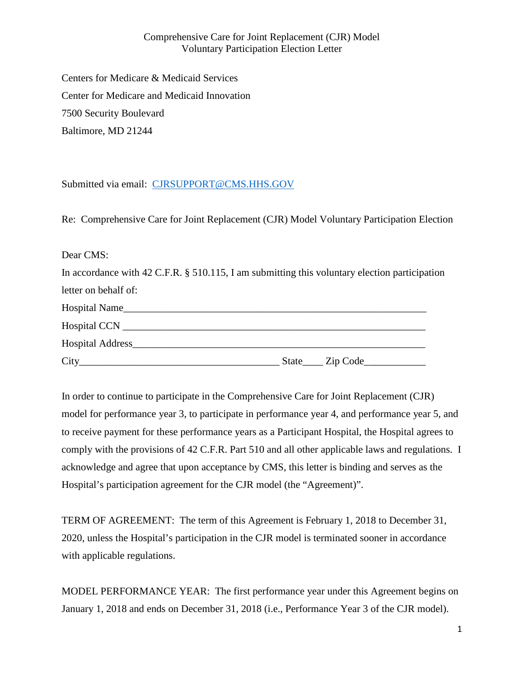Comprehensive Care for Joint Replacement (CJR) Model Voluntary Participation Election Letter

Centers for Medicare & Medicaid Services Center for Medicare and Medicaid Innovation 7500 Security Boulevard Baltimore, MD 21244

Submitted via email: [CJRSUPPORT@CMS.HHS.GOV](mailto:CJRSUPPORT@CMS.HHS.GOV?subject=Comprehensive%20Care%20for%20Joint%20Replacement%20(CJR)%20Model%20Voluntary%20Participation%20Election)

Re: Comprehensive Care for Joint Replacement (CJR) Model Voluntary Participation Election

Dear CMS:

| In accordance with 42 C.F.R. § 510.115, I am submitting this voluntary election participation |
|-----------------------------------------------------------------------------------------------|
| letter on behalf of:                                                                          |
| Hospital Name                                                                                 |
|                                                                                               |
| Hospital Address                                                                              |
|                                                                                               |

In order to continue to participate in the Comprehensive Care for Joint Replacement (CJR) model for performance year 3, to participate in performance year 4, and performance year 5, and to receive payment for these performance years as a Participant Hospital, the Hospital agrees to comply with the provisions of 42 C.F.R. Part 510 and all other applicable laws and regulations. I acknowledge and agree that upon acceptance by CMS, this letter is binding and serves as the Hospital's participation agreement for the CJR model (the "Agreement)".

TERM OF AGREEMENT: The term of this Agreement is February 1, 2018 to December 31, 2020, unless the Hospital's participation in the CJR model is terminated sooner in accordance with applicable regulations.

MODEL PERFORMANCE YEAR: The first performance year under this Agreement begins on January 1, 2018 and ends on December 31, 2018 (i.e., Performance Year 3 of the CJR model).